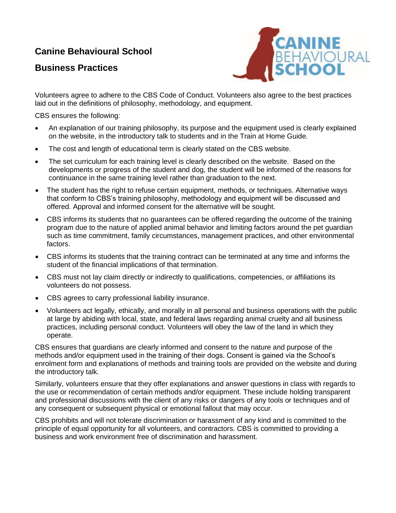## **Canine Behavioural School**

## **Business Practices**



Volunteers agree to adhere to the CBS Code of Conduct. Volunteers also agree to the best practices laid out in the definitions of philosophy, methodology, and equipment.

CBS ensures the following:

- An explanation of our training philosophy, its purpose and the equipment used is clearly explained on the website, in the introductory talk to students and in the Train at Home Guide.
- The cost and length of educational term is clearly stated on the CBS website.
- The set curriculum for each training level is clearly described on the website. Based on the developments or progress of the student and dog, the student will be informed of the reasons for continuance in the same training level rather than graduation to the next.
- The student has the right to refuse certain equipment, methods, or techniques. Alternative ways that conform to CBS's training philosophy, methodology and equipment will be discussed and offered. Approval and informed consent for the alternative will be sought.
- CBS informs its students that no guarantees can be offered regarding the outcome of the training program due to the nature of applied animal behavior and limiting factors around the pet guardian such as time commitment, family circumstances, management practices, and other environmental factors.
- CBS informs its students that the training contract can be terminated at any time and informs the student of the financial implications of that termination.
- CBS must not lay claim directly or indirectly to qualifications, competencies, or affiliations its volunteers do not possess.
- CBS agrees to carry professional liability insurance.
- Volunteers act legally, ethically, and morally in all personal and business operations with the public at large by abiding with local, state, and federal laws regarding animal cruelty and all business practices, including personal conduct. Volunteers will obey the law of the land in which they operate.

CBS ensures that guardians are clearly informed and consent to the nature and purpose of the methods and/or equipment used in the training of their dogs. Consent is gained via the School's enrolment form and explanations of methods and training tools are provided on the website and during the introductory talk.

Similarly, volunteers ensure that they offer explanations and answer questions in class with regards to the use or recommendation of certain methods and/or equipment. These include holding transparent and professional discussions with the client of any risks or dangers of any tools or techniques and of any consequent or subsequent physical or emotional fallout that may occur.

CBS prohibits and will not tolerate discrimination or harassment of any kind and is committed to the principle of equal opportunity for all volunteers, and contractors. CBS is committed to providing a business and work environment free of discrimination and harassment.